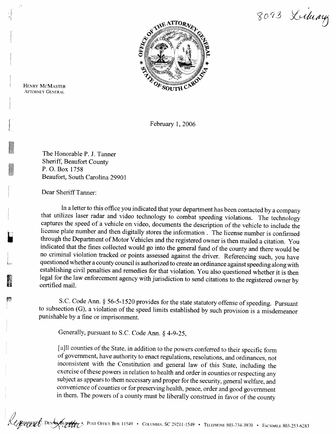8093 Library



HENRY MCMASTER **ATTORNEY GENERAL** 

February 1, 2006

The Honorable P. J. Tanner Sheriff, Beaufort County P. 0. Box 1758 Beaufort, South Carolina 2990 1

Dear Sheriff Tanner:

In a letter to this office you indicated that your department has been contacted by a company that utilizes laser radar and video technology to combat speeding violations. The technology captures the speed of a vehicle on video, documents the description of the vehicle to include the license plate number and then digitally stores the information . The license number is confirmed through the Department of Motor Vehicles and the registered owner is then mailed a citation. You indicated that the fines collected would go into the general fund of the county and there would be no criminal violation tracked or points assessed against the driver. Referencing such, you have questioned whether a county council is authorized to create an ordinance against speeding along with establishing civil penalties and remedies for that violation. You also questioned whether it is then legal for the law enforcement agency with jurisdiction to send citations to the registered owner by certified mail.

S.C. Code Ann. § 56-5-1520 provides for the state statutory offense of speeding. Pursuant to subsection (G), a violation of the speed limits established by such provision is a misdemeanor punishable by a fine or imprisonment.

Generally, pursuant to S.C. Code Ann. *5* 4-9-25,

[a]ll counties of the State, in addition to the powers conferred to their specific form of government, have authority to enact regulations, resolutions, and ordinances, not inconsistent with the Constitution and general law of this State, including the exercise of these powers in relation to health and order in counties or respecting any subject as appears to them necessary and proper for the security, general welfare, and convenience of counties or for preserving health, peace, order and good government in them. The powers of a county must be liberally construed in favor of the county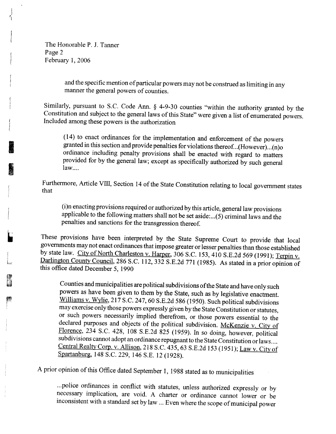The Honorable P. J. Tanner Page 2 February 1, 2006

> and the specific mention of particular powers may not be construed as limiting in any manner the general powers of counties.

Similarly, pursuant to S.C. Code Ann.  $\S$  4-9-30 counties "within the authority granted by the Constitution and subject to the general laws of this State" were given a list of enumerated powers. Included among these powers is the authorization

(14) to enact ordinances for the implementation and enforcement of the powers granted in this section and provide penalties for violations thereof. ..( However) ...( n)o ordinance including penalty provisions shall be enacted with regard to matters provided for by the general law; except **as** specifically authorized by such general law....

Furthermore, Article VIII, Section 14 of the State Constitution relating to local government states that

(i)n enacting provisions required or authorized by this article, general law provisions applicable to the following matters shall not be set aside: ...( 5) criminal laws and the penalties and sanctions for the transgression thereof.

These provisions have been interpreted by the State Supreme Court to provide that local governments may not enact ordinances that impose greater or lesser penalties than those established by state law. City of North Charleston v. Harper, 306 S.C. 153, 410 S.E.2d 569 (1991); Terpin v. Darlington County Council, 286 S.C. 112, 332 S.E.2d 771 (1985). As stated in a prior opinion of this office dated December 5, 1990

Counties and municipalities are political subdivisions of the State and have only such powers as have been given to them by the State, such as by legislative enactment. Williams v. Wylie, 217 S.C. 247, 60 S.E.2d 586 (1950). Such political subdivisions may exercise only those powers expressly given by the State Constitution or statutes, or such powers necessarily implied therefrom, or those powers essential to the declared purposes and objects of the political subdivision. McKenzie v. City of Florence, 234 S.C. 428, 108 S.E.2d 825 (1959). In so doing, however, political subdivisions cannot adopt an ordinance repugnant to the State Constitution or laws .... Central Realty Corp. v. Allison, 218 S.C. 435, 63 S.E.2d 153 (1951); Law v. City of Spartanburg, 148 S.C. 229, 146 S.E. 12 (1928).

A prior opinion of this Office dated September 1, 1988 stated as to municipalities

...police ordinances in conflict with statutes, unless authorized expressly or by necessary implication, are void. A charter or ordinance cannot lower or be inconsistent with a standard set by law ... Even where the scope of municipal power